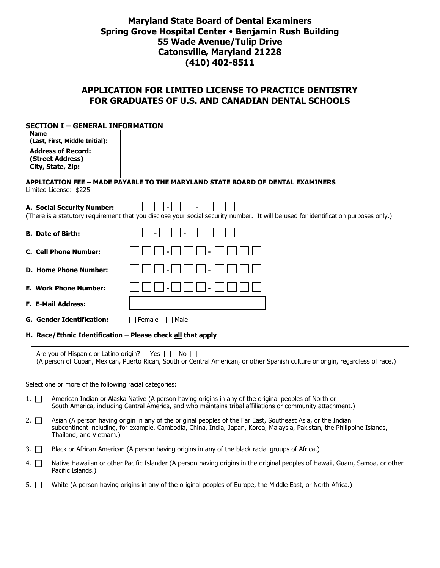# **Maryland State Board of Dental Examiners Spring Grove Hospital Center Benjamin Rush Building 55 Wade Avenue/Tulip Drive Catonsville, Maryland 21228 (410) 402-8511**

## **APPLICATION FOR LIMITED LICENSE TO PRACTICE DENTISTRY FOR GRADUATES OF U.S. AND CANADIAN DENTAL SCHOOLS**

| <b>SECTION I - GENERAL INFORMATION</b>                      |                                                                                                                                                                                                                                       |
|-------------------------------------------------------------|---------------------------------------------------------------------------------------------------------------------------------------------------------------------------------------------------------------------------------------|
| <b>Name</b><br>(Last, First, Middle Initial):               |                                                                                                                                                                                                                                       |
| <b>Address of Record:</b><br>(Street Address)               |                                                                                                                                                                                                                                       |
| City, State, Zip:                                           |                                                                                                                                                                                                                                       |
| Limited License: \$225                                      | APPLICATION FEE - MADE PAYABLE TO THE MARYLAND STATE BOARD OF DENTAL EXAMINERS                                                                                                                                                        |
| A. Social Security Number:                                  | (There is a statutory requirement that you disclose your social security number. It will be used for identification purposes only.)                                                                                                   |
| <b>B.</b> Date of Birth:                                    |                                                                                                                                                                                                                                       |
| <b>C. Cell Phone Number:</b>                                |                                                                                                                                                                                                                                       |
| <b>D. Home Phone Number:</b>                                |                                                                                                                                                                                                                                       |
| <b>E. Work Phone Number:</b>                                |                                                                                                                                                                                                                                       |
| <b>F. E-Mail Address:</b>                                   |                                                                                                                                                                                                                                       |
| <b>G. Gender Identification:</b>                            | $\Box$ Female<br>$\Box$ Male                                                                                                                                                                                                          |
| H. Race/Ethnic Identification - Please check all that apply |                                                                                                                                                                                                                                       |
| Are you of Hispanic or Latino origin?                       | Yes $\Box$<br>No $\Box$<br>(A person of Cuban, Mexican, Puerto Rican, South or Central American, or other Spanish culture or origin, regardless of race.)                                                                             |
| Select one or more of the following racial categories:      |                                                                                                                                                                                                                                       |
| $1. \Box$                                                   | American Indian or Alaska Native (A person having origins in any of the original peoples of North or<br>South America, including Central America, and who maintains tribal affiliations or community attachment.)                     |
| $2. \Box$                                                   | Asian (A person having origin in any of the original peoples of the Far East, Southeast Asia, or the Indian<br>subcontinent including, for example, Cambodia, China, India, Japan, Korea, Malaysia, Pakistan, the Philippine Islands, |

- Thailand, and Vietnam.)
- 3.  $\Box$  Black or African American (A person having origins in any of the black racial groups of Africa.)
- 4. <sup>Native</sup> Hawaiian or other Pacific Islander (A person having origins in the original peoples of Hawaii, Guam, Samoa, or other Pacific Islands.)
- 5.  $\Box$  White (A person having origins in any of the original peoples of Europe, the Middle East, or North Africa.)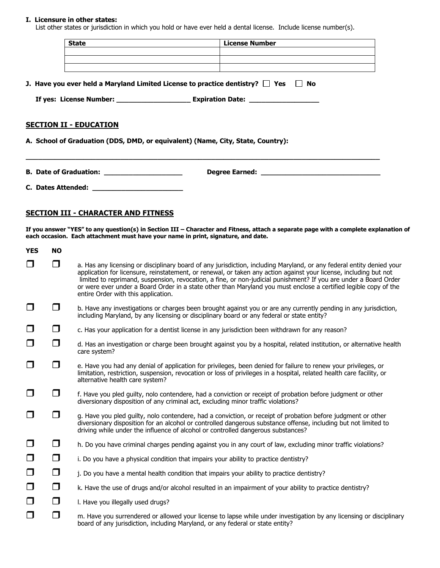### **I. Licensure in other states:**

List other states or jurisdiction in which you hold or have ever held a dental license. Include license number(s).

|                                                                                                                                                                                            | <b>State</b>                                | License Number |  |  |
|--------------------------------------------------------------------------------------------------------------------------------------------------------------------------------------------|---------------------------------------------|----------------|--|--|
|                                                                                                                                                                                            |                                             |                |  |  |
| <b>J. Have you ever held a Maryland Limited License to practice dentistry?</b> $\Box$ Yes $\Box$<br>No<br>If yes: License Number: ________________________ Expiration Date: ______________ |                                             |                |  |  |
| <b>SECTION II - EDUCATION</b><br>A. School of Graduation (DDS, DMD, or equivalent) (Name, City, State, Country):                                                                           |                                             |                |  |  |
|                                                                                                                                                                                            |                                             |                |  |  |
|                                                                                                                                                                                            | C. Dates Attended: ________________________ |                |  |  |

### **SECTION III - CHARACTER AND FITNESS**

**If you answer "YES" to any question(s) in Section III – Character and Fitness, attach a separate page with a complete explanation of each occasion. Each attachment must have your name in print, signature, and date.**

| <b>YES</b> | <b>NO</b> |                                                                                                                                                                                                                                                                                                                                                                                                                                                                                                                           |
|------------|-----------|---------------------------------------------------------------------------------------------------------------------------------------------------------------------------------------------------------------------------------------------------------------------------------------------------------------------------------------------------------------------------------------------------------------------------------------------------------------------------------------------------------------------------|
| $\Box$     | □         | a. Has any licensing or disciplinary board of any jurisdiction, including Maryland, or any federal entity denied your<br>application for licensure, reinstatement, or renewal, or taken any action against your license, including but not<br>limited to reprimand, suspension, revocation, a fine, or non-judicial punishment? If you are under a Board Order<br>or were ever under a Board Order in a state other than Maryland you must enclose a certified legible copy of the<br>entire Order with this application. |
| $\Box$     | □         | b. Have any investigations or charges been brought against you or are any currently pending in any jurisdiction,<br>including Maryland, by any licensing or disciplinary board or any federal or state entity?                                                                                                                                                                                                                                                                                                            |
| $\Box$     | $\Box$    | c. Has your application for a dentist license in any jurisdiction been withdrawn for any reason?                                                                                                                                                                                                                                                                                                                                                                                                                          |
| $\Box$     | $\Box$    | d. Has an investigation or charge been brought against you by a hospital, related institution, or alternative health<br>care system?                                                                                                                                                                                                                                                                                                                                                                                      |
| $\Box$     | $\Box$    | e. Have you had any denial of application for privileges, been denied for failure to renew your privileges, or<br>limitation, restriction, suspension, revocation or loss of privileges in a hospital, related health care facility, or<br>alternative health care system?                                                                                                                                                                                                                                                |
| $\Box$     | ◘         | f. Have you pled guilty, nolo contendere, had a conviction or receipt of probation before judgment or other<br>diversionary disposition of any criminal act, excluding minor traffic violations?                                                                                                                                                                                                                                                                                                                          |
| $\Box$     | ◘         | g. Have you pled guilty, nolo contendere, had a conviction, or receipt of probation before judgment or other<br>diversionary disposition for an alcohol or controlled dangerous substance offense, including but not limited to<br>driving while under the influence of alcohol or controlled dangerous substances?                                                                                                                                                                                                       |
| $\Box$     | $\Box$    | h. Do you have criminal charges pending against you in any court of law, excluding minor traffic violations?                                                                                                                                                                                                                                                                                                                                                                                                              |
| $\Box$     | $\Box$    | i. Do you have a physical condition that impairs your ability to practice dentistry?                                                                                                                                                                                                                                                                                                                                                                                                                                      |
| $\Box$     | $\Box$    | j. Do you have a mental health condition that impairs your ability to practice dentistry?                                                                                                                                                                                                                                                                                                                                                                                                                                 |
| $\Box$     | $\Box$    | k. Have the use of drugs and/or alcohol resulted in an impairment of your ability to practice dentistry?                                                                                                                                                                                                                                                                                                                                                                                                                  |
| $\Box$     | $\Box$    | I. Have you illegally used drugs?                                                                                                                                                                                                                                                                                                                                                                                                                                                                                         |
| □          | $\Box$    | m. Have you surrendered or allowed your license to lapse while under investigation by any licensing or disciplinary<br>board of any jurisdiction, including Maryland, or any federal or state entity?                                                                                                                                                                                                                                                                                                                     |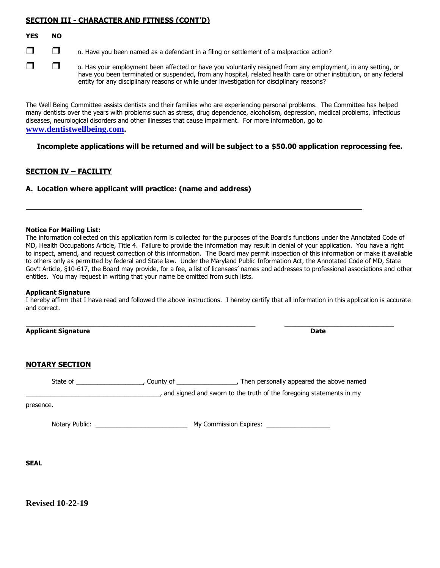### **SECTION III - CHARACTER AND FITNESS (CONT'D)**

### **YES NO**

 $\Box$   $\Box$  n. Have you been named as a defendant in a filing or settlement of a malpractice action?

 $\Box$   $\Box$  o. Has your employment been affected or have you voluntarily resigned from any employment, in any setting, or have you been terminated or suspended, from any hospital, related health care or other institution, or any federal entity for any disciplinary reasons or while under investigation for disciplinary reasons?

The Well Being Committee assists dentists and their families who are experiencing personal problems. The Committee has helped many dentists over the years with problems such as stress, drug dependence, alcoholism, depression, medical problems, infectious diseases, neurological disorders and other illnesses that cause impairment. For more information, go to **[www.dentistwellbeing.com](http://www.denistwellbeing,com/).**

**Incomplete applications will be returned and will be subject to a \$50.00 application reprocessing fee.**

### **SECTION IV – FACILITY**

**A. Location where applicant will practice: (name and address)**

#### **Notice For Mailing List:**

The information collected on this application form is collected for the purposes of the Board's functions under the Annotated Code of MD, Health Occupations Article, Title 4. Failure to provide the information may result in denial of your application. You have a right to inspect, amend, and request correction of this information. The Board may permit inspection of this information or make it available to others only as permitted by federal and State law. Under the Maryland Public Information Act, the Annotated Code of MD, State Gov't Article, §10-617, the Board may provide, for a fee, a list of licensees' names and addresses to professional associations and other entities. You may request in writing that your name be omitted from such lists.

#### **Applicant Signature**

I hereby affirm that I have read and followed the above instructions. I hereby certify that all information in this application is accurate and correct.

**Applicant Signature Date**

 $\_$  ,  $\_$  ,  $\_$  ,  $\_$  ,  $\_$  ,  $\_$  ,  $\_$  ,  $\_$  ,  $\_$  ,  $\_$  ,  $\_$  ,  $\_$  ,  $\_$  ,  $\_$  ,  $\_$  ,  $\_$  ,  $\_$  ,  $\_$  ,  $\_$  ,  $\_$  ,  $\_$  ,  $\_$  ,  $\_$  ,  $\_$  ,  $\_$  ,  $\_$  ,  $\_$  ,  $\_$  ,  $\_$  ,  $\_$  ,  $\_$  ,  $\_$  ,  $\_$  ,  $\_$  ,  $\_$  ,  $\_$  ,  $\_$  ,

### **NOTARY SECTION**

| State of       | County of | Then personally appeared the above named                            |
|----------------|-----------|---------------------------------------------------------------------|
|                |           | and signed and sworn to the truth of the foregoing statements in my |
| presence.      |           |                                                                     |
| Notary Public: |           | My Commission Expires:                                              |

**SEAL**

**Revised 10-22-19**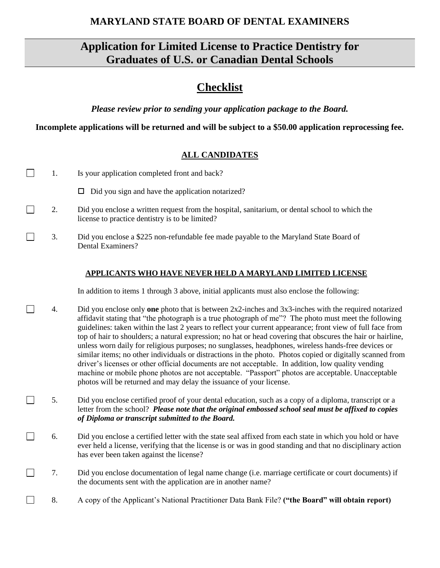# **MARYLAND STATE BOARD OF DENTAL EXAMINERS**

# **Application for Limited License to Practice Dentistry for Graduates of U.S. or Canadian Dental Schools**

# **Checklist**

*Please review prior to sending your application package to the Board.*

**Incomplete applications will be returned and will be subject to a \$50.00 application reprocessing fee.**

# **ALL CANDIDATES**

| 1. | Is your application completed front and back?                                                                                                                                                                                                                                                                                                                                                                                                                                                                                                                                                                                                                                                                                                                                                                                                                                                                                                          |
|----|--------------------------------------------------------------------------------------------------------------------------------------------------------------------------------------------------------------------------------------------------------------------------------------------------------------------------------------------------------------------------------------------------------------------------------------------------------------------------------------------------------------------------------------------------------------------------------------------------------------------------------------------------------------------------------------------------------------------------------------------------------------------------------------------------------------------------------------------------------------------------------------------------------------------------------------------------------|
|    | Did you sign and have the application notarized?<br>□                                                                                                                                                                                                                                                                                                                                                                                                                                                                                                                                                                                                                                                                                                                                                                                                                                                                                                  |
| 2. | Did you enclose a written request from the hospital, sanitarium, or dental school to which the<br>license to practice dentistry is to be limited?                                                                                                                                                                                                                                                                                                                                                                                                                                                                                                                                                                                                                                                                                                                                                                                                      |
| 3. | Did you enclose a \$225 non-refundable fee made payable to the Maryland State Board of<br>Dental Examiners?                                                                                                                                                                                                                                                                                                                                                                                                                                                                                                                                                                                                                                                                                                                                                                                                                                            |
|    | APPLICANTS WHO HAVE NEVER HELD A MARYLAND LIMITED LICENSE                                                                                                                                                                                                                                                                                                                                                                                                                                                                                                                                                                                                                                                                                                                                                                                                                                                                                              |
|    | In addition to items 1 through 3 above, initial applicants must also enclose the following:                                                                                                                                                                                                                                                                                                                                                                                                                                                                                                                                                                                                                                                                                                                                                                                                                                                            |
| 4. | Did you enclose only one photo that is between $2x2$ -inches and $3x3$ -inches with the required notarized<br>affidavit stating that "the photograph is a true photograph of me"? The photo must meet the following<br>guidelines: taken within the last 2 years to reflect your current appearance; front view of full face from<br>top of hair to shoulders; a natural expression; no hat or head covering that obscures the hair or hairline,<br>unless worn daily for religious purposes; no sunglasses, headphones, wireless hands-free devices or<br>similar items; no other individuals or distractions in the photo. Photos copied or digitally scanned from<br>driver's licenses or other official documents are not acceptable. In addition, low quality vending<br>machine or mobile phone photos are not acceptable. "Passport" photos are acceptable. Unacceptable<br>photos will be returned and may delay the issuance of your license. |
|    | $\mathbf{r}$ .<br>$\frac{1}{1}$ . The state of the state of the state of the state of the state of the state of the state of the state of the state of the state of the state of the state of the state of the state of the state of the state of t<br>$\sim$ $\sim$ $\sim$ $\sim$ $\sim$                                                                                                                                                                                                                                                                                                                                                                                                                                                                                                                                                                                                                                                              |

- 5. Did you enclose certified proof of your dental education, such as a copy of a diploma, transcript or a  $\Box$ letter from the school? *Please note that the original embossed school seal must be affixed to copies of Diploma or transcript submitted to the Board.*
- $\Box$ 6. Did you enclose a certified letter with the state seal affixed from each state in which you hold or have ever held a license, verifying that the license is or was in good standing and that no disciplinary action has ever been taken against the license?
- $\Box$ 7. Did you enclose documentation of legal name change (i.e. marriage certificate or court documents) if the documents sent with the application are in another name?
- $\Box$ 8. A copy of the Applicant's National Practitioner Data Bank File? **("the Board" will obtain report)**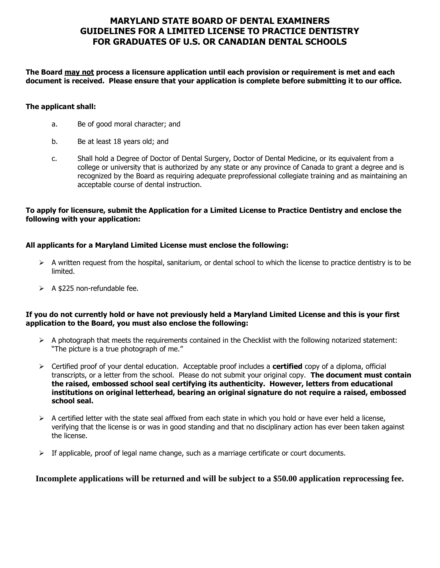# **MARYLAND STATE BOARD OF DENTAL EXAMINERS GUIDELINES FOR A LIMITED LICENSE TO PRACTICE DENTISTRY FOR GRADUATES OF U.S. OR CANADIAN DENTAL SCHOOLS**

**The Board may not process a licensure application until each provision or requirement is met and each document is received. Please ensure that your application is complete before submitting it to our office.**

### **The applicant shall:**

- a. Be of good moral character; and
- b. Be at least 18 years old; and
- c. Shall hold a Degree of Doctor of Dental Surgery, Doctor of Dental Medicine, or its equivalent from a college or university that is authorized by any state or any province of Canada to grant a degree and is recognized by the Board as requiring adequate preprofessional collegiate training and as maintaining an acceptable course of dental instruction.

### **To apply for licensure, submit the Application for a Limited License to Practice Dentistry and enclose the following with your application:**

### **All applicants for a Maryland Limited License must enclose the following:**

- $\triangleright$  A written request from the hospital, sanitarium, or dental school to which the license to practice dentistry is to be limited.
- $\triangleright$  A \$225 non-refundable fee.

### **If you do not currently hold or have not previously held a Maryland Limited License and this is your first application to the Board, you must also enclose the following:**

- $\triangleright$  A photograph that meets the requirements contained in the Checklist with the following notarized statement: "The picture is a true photograph of me."
- ➢ Certified proof of your dental education. Acceptable proof includes a **certified** copy of a diploma, official transcripts, or a letter from the school. Please do not submit your original copy. **The document must contain the raised, embossed school seal certifying its authenticity. However, letters from educational institutions on original letterhead, bearing an original signature do not require a raised, embossed school seal.**
- $\triangleright$  A certified letter with the state seal affixed from each state in which you hold or have ever held a license, verifying that the license is or was in good standing and that no disciplinary action has ever been taken against the license.
- $\triangleright$  If applicable, proof of legal name change, such as a marriage certificate or court documents.

### **Incomplete applications will be returned and will be subject to a \$50.00 application reprocessing fee.**